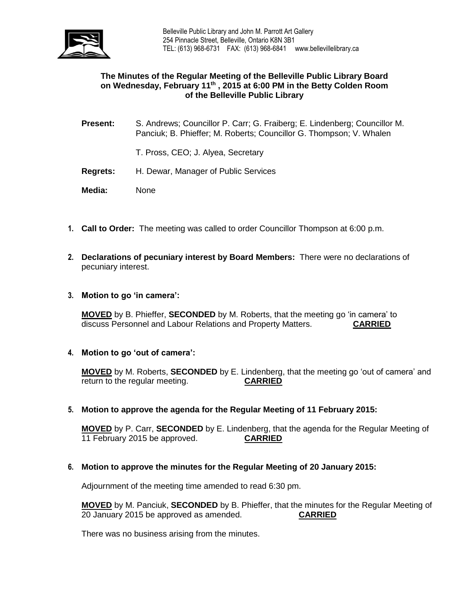

#### **The Minutes of the Regular Meeting of the Belleville Public Library Board on Wednesday, February 11th , 2015 at 6:00 PM in the Betty Colden Room of the Belleville Public Library**

- **Present:** S. Andrews; Councillor P. Carr; G. Fraiberg; E. Lindenberg; Councillor M. Panciuk; B. Phieffer; M. Roberts; Councillor G. Thompson; V. Whalen
	- T. Pross, CEO; J. Alyea, Secretary
- **Regrets:** H. Dewar, Manager of Public Services
- **Media:** None
- **1. Call to Order:** The meeting was called to order Councillor Thompson at 6:00 p.m.
- **2. Declarations of pecuniary interest by Board Members:** There were no declarations of pecuniary interest.
- **3. Motion to go 'in camera':**

**MOVED** by B. Phieffer, **SECONDED** by M. Roberts, that the meeting go 'in camera' to discuss Personnel and Labour Relations and Property Matters. **CARRIED**

**4. Motion to go 'out of camera':**

**MOVED** by M. Roberts, **SECONDED** by E. Lindenberg, that the meeting go 'out of camera' and return to the regular meeting. **CARRIED**

**5. Motion to approve the agenda for the Regular Meeting of 11 February 2015:**

**MOVED** by P. Carr, **SECONDED** by E. Lindenberg, that the agenda for the Regular Meeting of 11 February 2015 be approved. **CARRIED**

**6. Motion to approve the minutes for the Regular Meeting of 20 January 2015:**

Adjournment of the meeting time amended to read 6:30 pm.

**MOVED** by M. Panciuk, **SECONDED** by B. Phieffer, that the minutes for the Regular Meeting of 20 January 2015 be approved as amended. **CARRIED**

There was no business arising from the minutes.